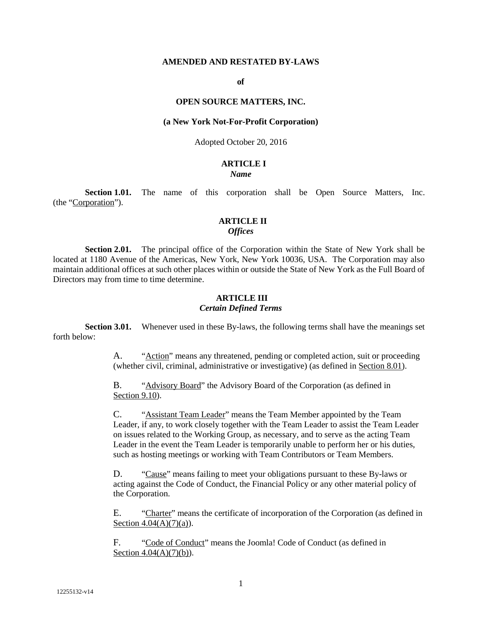#### **AMENDED AND RESTATED BY-LAWS**

#### **of**

#### **OPEN SOURCE MATTERS, INC.**

#### **(a New York Not-For-Profit Corporation)**

### Adopted October 20, 2016

# **ARTICLE I**

# *Name*

**Section 1.01.** The name of this corporation shall be Open Source Matters, Inc. (the "Corporation").

### **ARTICLE II** *Offices*

**Section 2.01.** The principal office of the Corporation within the State of New York shall be located at 1180 Avenue of the Americas, New York, New York 10036, USA. The Corporation may also maintain additional offices at such other places within or outside the State of New York as the Full Board of Directors may from time to time determine.

#### **ARTICLE III** *Certain Defined Terms*

**Section 3.01.** Whenever used in these By-laws, the following terms shall have the meanings set forth below:

> A. "Action" means any threatened, pending or completed action, suit or proceeding (whether civil, criminal, administrative or investigative) (as defined in Section 8.01).

B. "Advisory Board" the Advisory Board of the Corporation (as defined in Section 9.10).

C. "Assistant Team Leader" means the Team Member appointed by the Team Leader, if any, to work closely together with the Team Leader to assist the Team Leader on issues related to the Working Group, as necessary, and to serve as the acting Team Leader in the event the Team Leader is temporarily unable to perform her or his duties, such as hosting meetings or working with Team Contributors or Team Members.

D. "Cause" means failing to meet your obligations pursuant to these By-laws or acting against the Code of Conduct, the Financial Policy or any other material policy of the Corporation.

E. "Charter" means the certificate of incorporation of the Corporation (as defined in Section  $4.04(A)(7)(a)$ ).

F. "Code of Conduct" means the Joomla! Code of Conduct (as defined in Section  $4.04(A)(7)(b)$ ).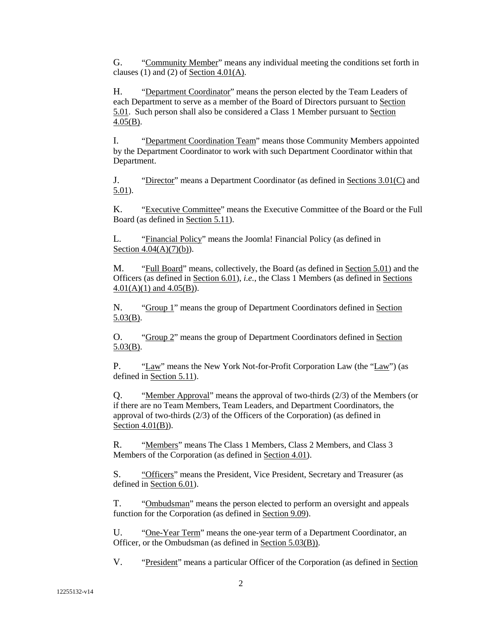G. "Community Member" means any individual meeting the conditions set forth in clauses (1) and (2) of Section  $4.01(A)$ .

H. "Department Coordinator" means the person elected by the Team Leaders of each Department to serve as a member of the Board of Directors pursuant to Section 5.01. Such person shall also be considered a Class 1 Member pursuant to Section 4.05(B).

I. "Department Coordination Team" means those Community Members appointed by the Department Coordinator to work with such Department Coordinator within that Department.

J. "Director" means a Department Coordinator (as defined in Sections 3.01(C) and 5.01).

K. "Executive Committee" means the Executive Committee of the Board or the Full Board (as defined in Section 5.11).

L. "Financial Policy" means the Joomla! Financial Policy (as defined in Section  $4.04(A)(7)(b)$ .

M. "Full Board" means, collectively, the Board (as defined in Section 5.01) and the Officers (as defined in Section 6.01), *i.e.*, the Class 1 Members (as defined in Sections  $4.01(A)(1)$  and  $4.05(B)$ ).

N. "Group 1" means the group of Department Coordinators defined in Section 5.03(B).

O. "Group 2" means the group of Department Coordinators defined in Section 5.03(B).

P. "Law" means the New York Not-for-Profit Corporation Law (the "Law") (as defined in Section 5.11).

Q. "Member Approval" means the approval of two-thirds (2/3) of the Members (or if there are no Team Members, Team Leaders, and Department Coordinators, the approval of two-thirds (2/3) of the Officers of the Corporation) (as defined in Section 4.01(B)).

R. "Members" means The Class 1 Members, Class 2 Members, and Class 3 Members of the Corporation (as defined in Section 4.01).

S. "Officers" means the President, Vice President, Secretary and Treasurer (as defined in Section 6.01).

T. "Ombudsman" means the person elected to perform an oversight and appeals function for the Corporation (as defined in Section 9.09).

U. "One-Year Term" means the one-year term of a Department Coordinator, an Officer, or the Ombudsman (as defined in Section 5.03(B)).

V. "President" means a particular Officer of the Corporation (as defined in Section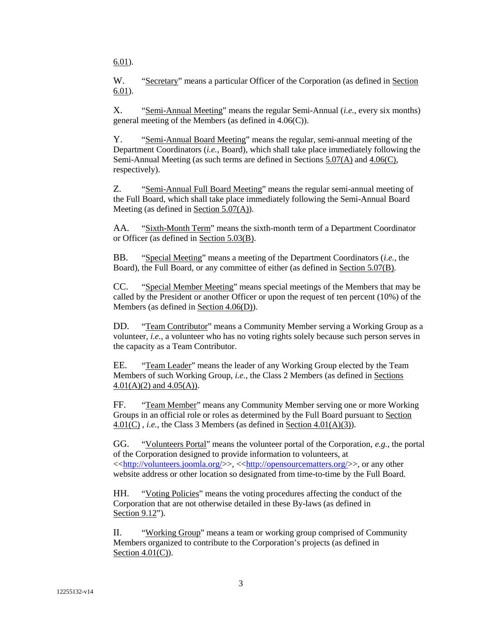6.01).

W. "Secretary" means a particular Officer of the Corporation (as defined in Section 6.01).

X. "Semi-Annual Meeting" means the regular Semi-Annual (*i.e.*, every six months) general meeting of the Members (as defined in 4.06(C)).

Y. "Semi-Annual Board Meeting" means the regular, semi-annual meeting of the Department Coordinators (*i.e.*, Board), which shall take place immediately following the Semi-Annual Meeting (as such terms are defined in Sections 5.07(A) and 4.06(C), respectively).

Z. "Semi-Annual Full Board Meeting" means the regular semi-annual meeting of the Full Board, which shall take place immediately following the Semi-Annual Board Meeting (as defined in Section 5.07(A)).

AA. "Sixth-Month Term" means the sixth-month term of a Department Coordinator or Officer (as defined in Section 5.03(B).

BB. "Special Meeting" means a meeting of the Department Coordinators (*i.e.*, the Board), the Full Board, or any committee of either (as defined in Section 5.07(B).

CC. "Special Member Meeting" means special meetings of the Members that may be called by the President or another Officer or upon the request of ten percent (10%) of the Members (as defined in Section 4.06(D)).

DD. "Team Contributor" means a Community Member serving a Working Group as a volunteer, *i.e.*, a volunteer who has no voting rights solely because such person serves in the capacity as a Team Contributor.

EE. "Team Leader" means the leader of any Working Group elected by the Team Members of such Working Group, *i.e.*, the Class 2 Members (as defined in Sections  $4.01(A)(2)$  and  $4.05(A)$ ).

FF. "Team Member" means any Community Member serving one or more Working Groups in an official role or roles as determined by the Full Board pursuant to Section 4.01(C) , *i.e.*, the Class 3 Members (as defined in Section 4.01(A)(3)).

GG. "Volunteers Portal" means the volunteer portal of the Corporation, *e.g.*, the portal of the Corporation designed to provide information to volunteers, at  $\langle\langle \frac{http://volumteers.joomla.org/}{\rangle}, \langle \frac{http://opensources.org/}{\rangle}$ , or any other website address or other location so designated from time-to-time by the Full Board.

HH. "Voting Policies" means the voting procedures affecting the conduct of the Corporation that are not otherwise detailed in these By-laws (as defined in Section 9.12").

II. "Working Group" means a team or working group comprised of Community Members organized to contribute to the Corporation's projects (as defined in Section  $4.01(C)$ ).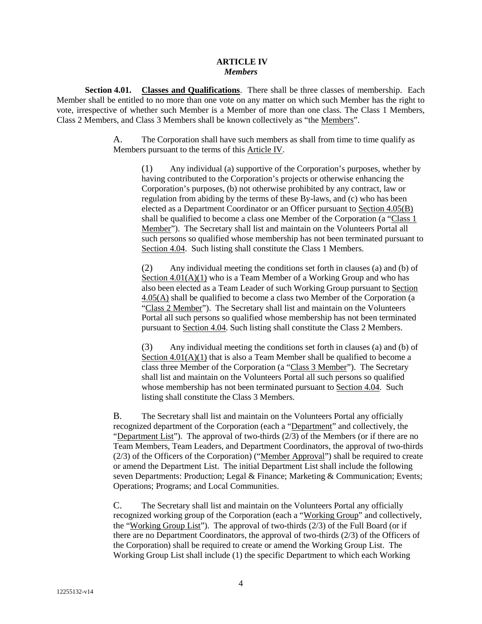#### **ARTICLE IV** *Members*

**Section 4.01. Classes and Qualifications**. There shall be three classes of membership. Each Member shall be entitled to no more than one vote on any matter on which such Member has the right to vote, irrespective of whether such Member is a Member of more than one class. The Class 1 Members, Class 2 Members, and Class 3 Members shall be known collectively as "the Members".

> A. The Corporation shall have such members as shall from time to time qualify as Members pursuant to the terms of this Article IV.

(1) Any individual (a) supportive of the Corporation's purposes, whether by having contributed to the Corporation's projects or otherwise enhancing the Corporation's purposes, (b) not otherwise prohibited by any contract, law or regulation from abiding by the terms of these By-laws, and (c) who has been elected as a Department Coordinator or an Officer pursuant to Section 4.05(B) shall be qualified to become a class one Member of the Corporation (a "Class 1 Member"). The Secretary shall list and maintain on the Volunteers Portal all such persons so qualified whose membership has not been terminated pursuant to Section 4.04. Such listing shall constitute the Class 1 Members.

(2) Any individual meeting the conditions set forth in clauses (a) and (b) of Section  $4.01(A)(1)$  who is a Team Member of a Working Group and who has also been elected as a Team Leader of such Working Group pursuant to Section 4.05(A) shall be qualified to become a class two Member of the Corporation (a "Class 2 Member"). The Secretary shall list and maintain on the Volunteers Portal all such persons so qualified whose membership has not been terminated pursuant to Section 4.04. Such listing shall constitute the Class 2 Members.

(3) Any individual meeting the conditions set forth in clauses (a) and (b) of Section  $4.01(A)(1)$  that is also a Team Member shall be qualified to become a class three Member of the Corporation (a "Class 3 Member"). The Secretary shall list and maintain on the Volunteers Portal all such persons so qualified whose membership has not been terminated pursuant to Section 4.04. Such listing shall constitute the Class 3 Members.

B. The Secretary shall list and maintain on the Volunteers Portal any officially recognized department of the Corporation (each a "Department" and collectively, the "Department List"). The approval of two-thirds (2/3) of the Members (or if there are no Team Members, Team Leaders, and Department Coordinators, the approval of two-thirds (2/3) of the Officers of the Corporation) ("Member Approval") shall be required to create or amend the Department List. The initial Department List shall include the following seven Departments: Production; Legal & Finance; Marketing & Communication; Events; Operations; Programs; and Local Communities.

C. The Secretary shall list and maintain on the Volunteers Portal any officially recognized working group of the Corporation (each a "Working Group" and collectively, the "Working Group List"). The approval of two-thirds (2/3) of the Full Board (or if there are no Department Coordinators, the approval of two-thirds (2/3) of the Officers of the Corporation) shall be required to create or amend the Working Group List. The Working Group List shall include (1) the specific Department to which each Working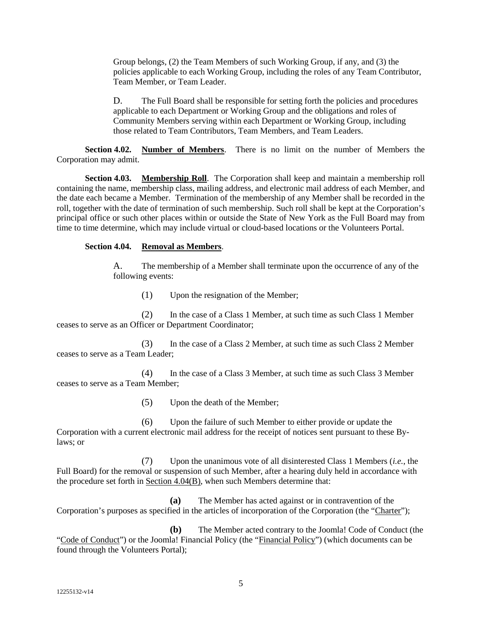Group belongs, (2) the Team Members of such Working Group, if any, and (3) the policies applicable to each Working Group, including the roles of any Team Contributor, Team Member, or Team Leader.

D. The Full Board shall be responsible for setting forth the policies and procedures applicable to each Department or Working Group and the obligations and roles of Community Members serving within each Department or Working Group, including those related to Team Contributors, Team Members, and Team Leaders.

**Section 4.02. Number of Members**. There is no limit on the number of Members the Corporation may admit.

**Section 4.03. Membership Roll**. The Corporation shall keep and maintain a membership roll containing the name, membership class, mailing address, and electronic mail address of each Member, and the date each became a Member. Termination of the membership of any Member shall be recorded in the roll, together with the date of termination of such membership. Such roll shall be kept at the Corporation's principal office or such other places within or outside the State of New York as the Full Board may from time to time determine, which may include virtual or cloud-based locations or the Volunteers Portal.

# **Section 4.04. Removal as Members**.

A. The membership of a Member shall terminate upon the occurrence of any of the following events:

(1) Upon the resignation of the Member;

(2) In the case of a Class 1 Member, at such time as such Class 1 Member ceases to serve as an Officer or Department Coordinator;

(3) In the case of a Class 2 Member, at such time as such Class 2 Member ceases to serve as a Team Leader;

(4) In the case of a Class 3 Member, at such time as such Class 3 Member ceases to serve as a Team Member;

(5) Upon the death of the Member;

(6) Upon the failure of such Member to either provide or update the Corporation with a current electronic mail address for the receipt of notices sent pursuant to these Bylaws; or

(7) Upon the unanimous vote of all disinterested Class 1 Members (*i.e.*, the Full Board) for the removal or suspension of such Member, after a hearing duly held in accordance with the procedure set forth in Section 4.04(B), when such Members determine that:

**(a)** The Member has acted against or in contravention of the Corporation's purposes as specified in the articles of incorporation of the Corporation (the "Charter");

**(b)** The Member acted contrary to the Joomla! Code of Conduct (the "Code of Conduct") or the Joomla! Financial Policy (the "Financial Policy") (which documents can be found through the Volunteers Portal);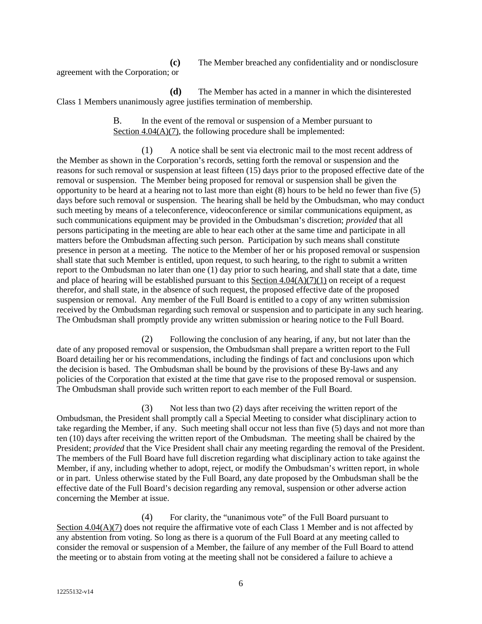agreement with the Corporation; or

| (c)        | The Member breached any confidentiality and or nondisclosure |
|------------|--------------------------------------------------------------|
| $\alpha r$ |                                                              |

**(d)** The Member has acted in a manner in which the disinterested Class 1 Members unanimously agree justifies termination of membership.

> B. In the event of the removal or suspension of a Member pursuant to Section 4.04(A)(7), the following procedure shall be implemented:

(1) A notice shall be sent via electronic mail to the most recent address of the Member as shown in the Corporation's records, setting forth the removal or suspension and the reasons for such removal or suspension at least fifteen (15) days prior to the proposed effective date of the removal or suspension. The Member being proposed for removal or suspension shall be given the opportunity to be heard at a hearing not to last more than eight (8) hours to be held no fewer than five (5) days before such removal or suspension. The hearing shall be held by the Ombudsman, who may conduct such meeting by means of a teleconference, videoconference or similar communications equipment, as such communications equipment may be provided in the Ombudsman's discretion; *provided* that all persons participating in the meeting are able to hear each other at the same time and participate in all matters before the Ombudsman affecting such person. Participation by such means shall constitute presence in person at a meeting. The notice to the Member of her or his proposed removal or suspension shall state that such Member is entitled, upon request, to such hearing, to the right to submit a written report to the Ombudsman no later than one (1) day prior to such hearing, and shall state that a date, time and place of hearing will be established pursuant to this Section  $4.04(A)(7)(1)$  on receipt of a request therefor, and shall state, in the absence of such request, the proposed effective date of the proposed suspension or removal. Any member of the Full Board is entitled to a copy of any written submission received by the Ombudsman regarding such removal or suspension and to participate in any such hearing. The Ombudsman shall promptly provide any written submission or hearing notice to the Full Board.

(2) Following the conclusion of any hearing, if any, but not later than the date of any proposed removal or suspension, the Ombudsman shall prepare a written report to the Full Board detailing her or his recommendations, including the findings of fact and conclusions upon which the decision is based. The Ombudsman shall be bound by the provisions of these By-laws and any policies of the Corporation that existed at the time that gave rise to the proposed removal or suspension. The Ombudsman shall provide such written report to each member of the Full Board.

(3) Not less than two (2) days after receiving the written report of the Ombudsman, the President shall promptly call a Special Meeting to consider what disciplinary action to take regarding the Member, if any. Such meeting shall occur not less than five (5) days and not more than ten (10) days after receiving the written report of the Ombudsman. The meeting shall be chaired by the President; *provided* that the Vice President shall chair any meeting regarding the removal of the President. The members of the Full Board have full discretion regarding what disciplinary action to take against the Member, if any, including whether to adopt, reject, or modify the Ombudsman's written report, in whole or in part. Unless otherwise stated by the Full Board, any date proposed by the Ombudsman shall be the effective date of the Full Board's decision regarding any removal, suspension or other adverse action concerning the Member at issue.

(4) For clarity, the "unanimous vote" of the Full Board pursuant to Section 4.04(A)(7) does not require the affirmative vote of each Class 1 Member and is not affected by any abstention from voting. So long as there is a quorum of the Full Board at any meeting called to consider the removal or suspension of a Member, the failure of any member of the Full Board to attend the meeting or to abstain from voting at the meeting shall not be considered a failure to achieve a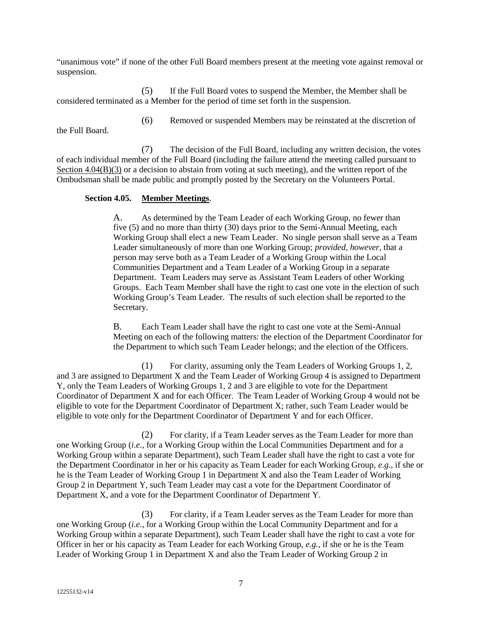"unanimous vote" if none of the other Full Board members present at the meeting vote against removal or suspension.

(5) If the Full Board votes to suspend the Member, the Member shall be considered terminated as a Member for the period of time set forth in the suspension.

(6) Removed or suspended Members may be reinstated at the discretion of

the Full Board.

(7) The decision of the Full Board, including any written decision, the votes of each individual member of the Full Board (including the failure attend the meeting called pursuant to Section 4.04(B)(3) or a decision to abstain from voting at such meeting), and the written report of the Ombudsman shall be made public and promptly posted by the Secretary on the Volunteers Portal.

# **Section 4.05. Member Meetings**.

A. As determined by the Team Leader of each Working Group, no fewer than five (5) and no more than thirty (30) days prior to the Semi-Annual Meeting, each Working Group shall elect a new Team Leader. No single person shall serve as a Team Leader simultaneously of more than one Working Group; *provided*, *however*, that a person may serve both as a Team Leader of a Working Group within the Local Communities Department and a Team Leader of a Working Group in a separate Department. Team Leaders may serve as Assistant Team Leaders of other Working Groups. Each Team Member shall have the right to cast one vote in the election of such Working Group's Team Leader. The results of such election shall be reported to the Secretary.

B. Each Team Leader shall have the right to cast one vote at the Semi-Annual Meeting on each of the following matters: the election of the Department Coordinator for the Department to which such Team Leader belongs; and the election of the Officers.

(1) For clarity, assuming only the Team Leaders of Working Groups 1, 2, and 3 are assigned to Department X and the Team Leader of Working Group 4 is assigned to Department Y, only the Team Leaders of Working Groups 1, 2 and 3 are eligible to vote for the Department Coordinator of Department X and for each Officer. The Team Leader of Working Group 4 would not be eligible to vote for the Department Coordinator of Department X; rather, such Team Leader would be eligible to vote only for the Department Coordinator of Department Y and for each Officer.

(2) For clarity, if a Team Leader serves as the Team Leader for more than one Working Group (*i.e.*, for a Working Group within the Local Communities Department and for a Working Group within a separate Department), such Team Leader shall have the right to cast a vote for the Department Coordinator in her or his capacity as Team Leader for each Working Group, *e.g.*, if she or he is the Team Leader of Working Group 1 in Department X and also the Team Leader of Working Group 2 in Department Y, such Team Leader may cast a vote for the Department Coordinator of Department X, and a vote for the Department Coordinator of Department Y.

(3) For clarity, if a Team Leader serves as the Team Leader for more than one Working Group (*i.e.*, for a Working Group within the Local Community Department and for a Working Group within a separate Department), such Team Leader shall have the right to cast a vote for Officer in her or his capacity as Team Leader for each Working Group, *e.g.*, if she or he is the Team Leader of Working Group 1 in Department X and also the Team Leader of Working Group 2 in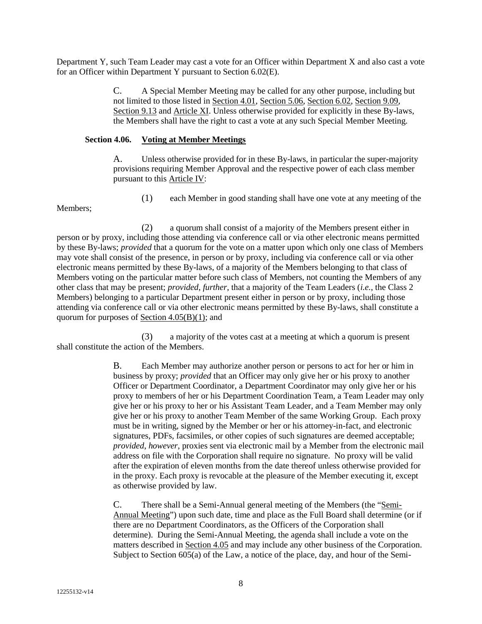Department Y, such Team Leader may cast a vote for an Officer within Department X and also cast a vote for an Officer within Department Y pursuant to Section 6.02(E)*.*

> C. A Special Member Meeting may be called for any other purpose, including but not limited to those listed in Section 4.01, Section 5.06, Section 6.02, Section 9.09, Section 9.13 and Article XI. Unless otherwise provided for explicitly in these By-laws, the Members shall have the right to cast a vote at any such Special Member Meeting.

### **Section 4.06. Voting at Member Meetings**

A. Unless otherwise provided for in these By-laws, in particular the super-majority provisions requiring Member Approval and the respective power of each class member pursuant to this Article IV:

(1) each Member in good standing shall have one vote at any meeting of the

Members;

(2) a quorum shall consist of a majority of the Members present either in person or by proxy, including those attending via conference call or via other electronic means permitted by these By-laws; *provided* that a quorum for the vote on a matter upon which only one class of Members may vote shall consist of the presence, in person or by proxy, including via conference call or via other electronic means permitted by these By-laws, of a majority of the Members belonging to that class of Members voting on the particular matter before such class of Members, not counting the Members of any other class that may be present; *provided*, *further*, that a majority of the Team Leaders (*i.e.*, the Class 2 Members) belonging to a particular Department present either in person or by proxy, including those attending via conference call or via other electronic means permitted by these By-laws, shall constitute a quorum for purposes of Section 4.05(B)(1); and

(3) a majority of the votes cast at a meeting at which a quorum is present shall constitute the action of the Members.

> B. Each Member may authorize another person or persons to act for her or him in business by proxy; *provided* that an Officer may only give her or his proxy to another Officer or Department Coordinator, a Department Coordinator may only give her or his proxy to members of her or his Department Coordination Team, a Team Leader may only give her or his proxy to her or his Assistant Team Leader, and a Team Member may only give her or his proxy to another Team Member of the same Working Group. Each proxy must be in writing, signed by the Member or her or his attorney-in-fact, and electronic signatures, PDFs, facsimiles, or other copies of such signatures are deemed acceptable; *provided*, *however*, proxies sent via electronic mail by a Member from the electronic mail address on file with the Corporation shall require no signature. No proxy will be valid after the expiration of eleven months from the date thereof unless otherwise provided for in the proxy. Each proxy is revocable at the pleasure of the Member executing it, except as otherwise provided by law.

> C. There shall be a Semi-Annual general meeting of the Members (the "Semi-Annual Meeting") upon such date, time and place as the Full Board shall determine (or if there are no Department Coordinators, as the Officers of the Corporation shall determine). During the Semi-Annual Meeting, the agenda shall include a vote on the matters described in Section 4.05 and may include any other business of the Corporation. Subject to Section 605(a) of the Law, a notice of the place, day, and hour of the Semi-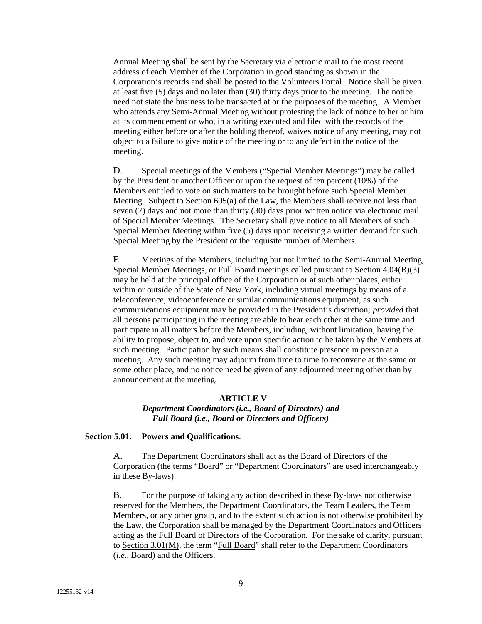Annual Meeting shall be sent by the Secretary via electronic mail to the most recent address of each Member of the Corporation in good standing as shown in the Corporation's records and shall be posted to the Volunteers Portal. Notice shall be given at least five (5) days and no later than (30) thirty days prior to the meeting. The notice need not state the business to be transacted at or the purposes of the meeting. A Member who attends any Semi-Annual Meeting without protesting the lack of notice to her or him at its commencement or who, in a writing executed and filed with the records of the meeting either before or after the holding thereof, waives notice of any meeting, may not object to a failure to give notice of the meeting or to any defect in the notice of the meeting.

D. Special meetings of the Members ("Special Member Meetings") may be called by the President or another Officer or upon the request of ten percent (10%) of the Members entitled to vote on such matters to be brought before such Special Member Meeting. Subject to Section  $605(a)$  of the Law, the Members shall receive not less than seven (7) days and not more than thirty (30) days prior written notice via electronic mail of Special Member Meetings. The Secretary shall give notice to all Members of such Special Member Meeting within five (5) days upon receiving a written demand for such Special Meeting by the President or the requisite number of Members.

E. Meetings of the Members, including but not limited to the Semi-Annual Meeting, Special Member Meetings, or Full Board meetings called pursuant to Section 4.04(B)(3) may be held at the principal office of the Corporation or at such other places, either within or outside of the State of New York, including virtual meetings by means of a teleconference, videoconference or similar communications equipment, as such communications equipment may be provided in the President's discretion; *provided* that all persons participating in the meeting are able to hear each other at the same time and participate in all matters before the Members, including, without limitation, having the ability to propose, object to, and vote upon specific action to be taken by the Members at such meeting. Participation by such means shall constitute presence in person at a meeting. Any such meeting may adjourn from time to time to reconvene at the same or some other place, and no notice need be given of any adjourned meeting other than by announcement at the meeting.

#### **ARTICLE V**

*Department Coordinators (i.e., Board of Directors) and Full Board (i.e., Board or Directors and Officers)*

#### **Section 5.01. Powers and Qualifications**.

A. The Department Coordinators shall act as the Board of Directors of the Corporation (the terms "Board" or "Department Coordinators" are used interchangeably in these By-laws).

B. For the purpose of taking any action described in these By-laws not otherwise reserved for the Members, the Department Coordinators, the Team Leaders, the Team Members, or any other group, and to the extent such action is not otherwise prohibited by the Law, the Corporation shall be managed by the Department Coordinators and Officers acting as the Full Board of Directors of the Corporation. For the sake of clarity, pursuant to Section 3.01(M), the term "Full Board" shall refer to the Department Coordinators (*i.e.,* Board) and the Officers.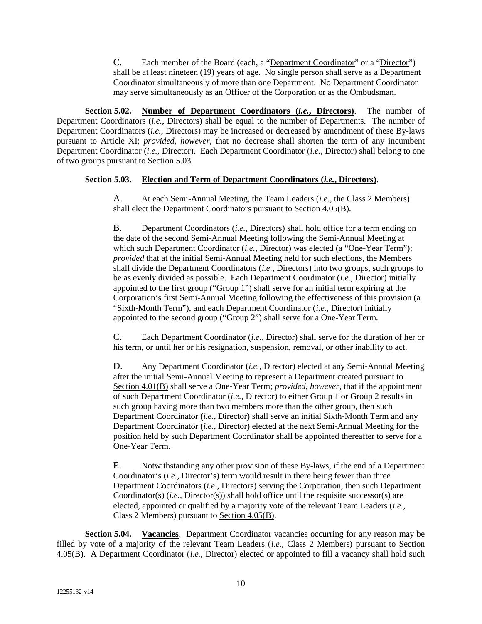C. Each member of the Board (each, a "Department Coordinator" or a "Director") shall be at least nineteen (19) years of age. No single person shall serve as a Department Coordinator simultaneously of more than one Department. No Department Coordinator may serve simultaneously as an Officer of the Corporation or as the Ombudsman.

**Section 5.02. Number of Department Coordinators (***i.e.***, Directors)**. The number of Department Coordinators (*i.e.*, Directors) shall be equal to the number of Departments. The number of Department Coordinators (*i.e.*, Directors) may be increased or decreased by amendment of these By-laws pursuant to Article XI; *provided*, *however*, that no decrease shall shorten the term of any incumbent Department Coordinator (*i.e.*, Director). Each Department Coordinator (*i.e.*, Director) shall belong to one of two groups pursuant to Section 5.03.

# **Section 5.03. Election and Term of Department Coordinators (***i.e.***, Directors)**.

A. At each Semi-Annual Meeting, the Team Leaders (*i.e.*, the Class 2 Members) shall elect the Department Coordinators pursuant to Section 4.05(B).

B. Department Coordinators (*i.e.*, Directors) shall hold office for a term ending on the date of the second Semi-Annual Meeting following the Semi-Annual Meeting at which such Department Coordinator (*i.e.*, Director) was elected (a "One-Year Term"); *provided* that at the initial Semi-Annual Meeting held for such elections, the Members shall divide the Department Coordinators (*i.e.*, Directors) into two groups, such groups to be as evenly divided as possible. Each Department Coordinator (*i.e.*, Director) initially appointed to the first group (" $Group 1$ ") shall serve for an initial term expiring at the Corporation's first Semi-Annual Meeting following the effectiveness of this provision (a "Sixth-Month Term"), and each Department Coordinator (*i.e.*, Director) initially appointed to the second group ("Group 2") shall serve for a One-Year Term.

C. Each Department Coordinator (*i.e.*, Director) shall serve for the duration of her or his term, or until her or his resignation, suspension, removal, or other inability to act.

D. Any Department Coordinator (*i.e.*, Director) elected at any Semi-Annual Meeting after the initial Semi-Annual Meeting to represent a Department created pursuant to Section 4.01(B) shall serve a One-Year Term; *provided, however*, that if the appointment of such Department Coordinator (*i.e.*, Director) to either Group 1 or Group 2 results in such group having more than two members more than the other group, then such Department Coordinator (*i.e.*, Director) shall serve an initial Sixth-Month Term and any Department Coordinator (*i.e.*, Director) elected at the next Semi-Annual Meeting for the position held by such Department Coordinator shall be appointed thereafter to serve for a One-Year Term.

E. Notwithstanding any other provision of these By-laws, if the end of a Department Coordinator's (*i.e.*, Director's) term would result in there being fewer than three Department Coordinators (*i.e.*, Directors) serving the Corporation, then such Department Coordinator(s) (*i.e.*, Director(s)) shall hold office until the requisite successor(s) are elected, appointed or qualified by a majority vote of the relevant Team Leaders (*i.e.*, Class 2 Members) pursuant to Section 4.05(B).

**Section 5.04. Vacancies**. Department Coordinator vacancies occurring for any reason may be filled by vote of a majority of the relevant Team Leaders (*i.e.*, Class 2 Members) pursuant to Section 4.05(B). A Department Coordinator (*i.e.*, Director) elected or appointed to fill a vacancy shall hold such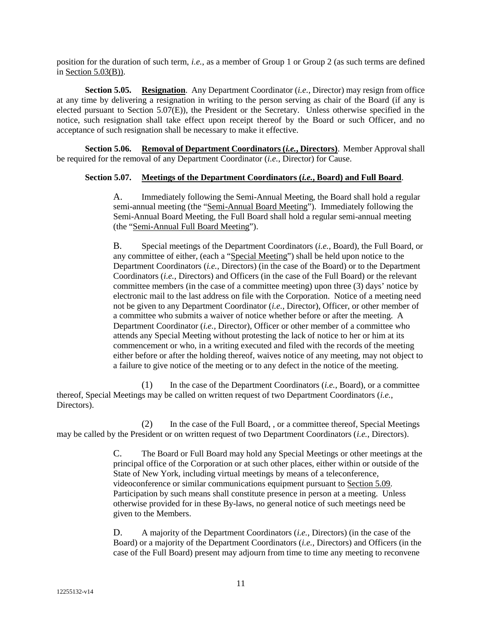position for the duration of such term, *i.e.*, as a member of Group 1 or Group 2 (as such terms are defined in Section 5.03(B)).

**Section 5.05. Resignation**. Any Department Coordinator (*i.e.*, Director) may resign from office at any time by delivering a resignation in writing to the person serving as chair of the Board (if any is elected pursuant to Section 5.07(E)), the President or the Secretary. Unless otherwise specified in the notice, such resignation shall take effect upon receipt thereof by the Board or such Officer, and no acceptance of such resignation shall be necessary to make it effective.

**Section 5.06. Removal of Department Coordinators (***i.e.***, Directors)**. Member Approval shall be required for the removal of any Department Coordinator (*i.e.*, Director) for Cause.

# **Section 5.07. Meetings of the Department Coordinators (***i.e.***, Board) and Full Board**.

A. Immediately following the Semi-Annual Meeting, the Board shall hold a regular semi-annual meeting (the "Semi-Annual Board Meeting"). Immediately following the Semi-Annual Board Meeting, the Full Board shall hold a regular semi-annual meeting (the "Semi-Annual Full Board Meeting").

B. Special meetings of the Department Coordinators (*i.e.*, Board), the Full Board, or any committee of either, (each a "Special Meeting") shall be held upon notice to the Department Coordinators (*i.e.*, Directors) (in the case of the Board) or to the Department Coordinators (*i.e.*, Directors) and Officers (in the case of the Full Board) or the relevant committee members (in the case of a committee meeting) upon three (3) days' notice by electronic mail to the last address on file with the Corporation. Notice of a meeting need not be given to any Department Coordinator (*i.e.*, Director), Officer, or other member of a committee who submits a waiver of notice whether before or after the meeting. A Department Coordinator (*i.e.*, Director), Officer or other member of a committee who attends any Special Meeting without protesting the lack of notice to her or him at its commencement or who, in a writing executed and filed with the records of the meeting either before or after the holding thereof, waives notice of any meeting, may not object to a failure to give notice of the meeting or to any defect in the notice of the meeting.

(1) In the case of the Department Coordinators (*i.e.*, Board), or a committee thereof, Special Meetings may be called on written request of two Department Coordinators (*i.e.*, Directors).

(2) In the case of the Full Board, , or a committee thereof, Special Meetings may be called by the President or on written request of two Department Coordinators (*i.e.*, Directors).

> C. The Board or Full Board may hold any Special Meetings or other meetings at the principal office of the Corporation or at such other places, either within or outside of the State of New York, including virtual meetings by means of a teleconference, videoconference or similar communications equipment pursuant to Section 5.09. Participation by such means shall constitute presence in person at a meeting. Unless otherwise provided for in these By-laws, no general notice of such meetings need be given to the Members.

> D. A majority of the Department Coordinators (*i.e.*, Directors) (in the case of the Board) or a majority of the Department Coordinators (*i.e.*, Directors) and Officers (in the case of the Full Board) present may adjourn from time to time any meeting to reconvene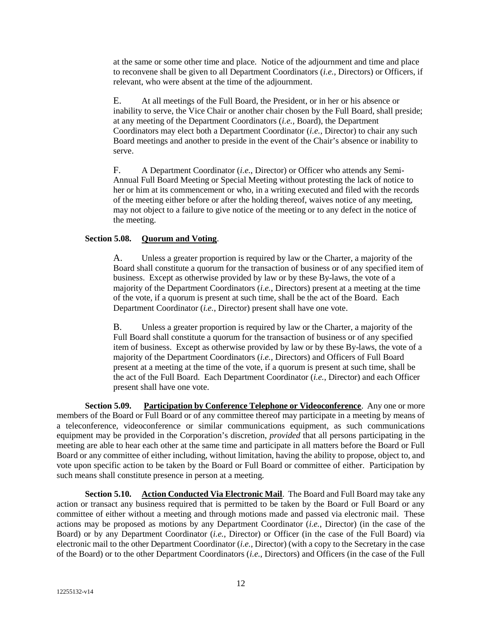at the same or some other time and place. Notice of the adjournment and time and place to reconvene shall be given to all Department Coordinators (*i.e.*, Directors) or Officers, if relevant, who were absent at the time of the adjournment.

E. At all meetings of the Full Board, the President, or in her or his absence or inability to serve, the Vice Chair or another chair chosen by the Full Board, shall preside; at any meeting of the Department Coordinators (*i.e.,* Board), the Department Coordinators may elect both a Department Coordinator (*i.e.*, Director) to chair any such Board meetings and another to preside in the event of the Chair's absence or inability to serve.

F. A Department Coordinator (*i.e.*, Director) or Officer who attends any Semi-Annual Full Board Meeting or Special Meeting without protesting the lack of notice to her or him at its commencement or who, in a writing executed and filed with the records of the meeting either before or after the holding thereof, waives notice of any meeting, may not object to a failure to give notice of the meeting or to any defect in the notice of the meeting.

# **Section 5.08. Quorum and Voting**.

A. Unless a greater proportion is required by law or the Charter, a majority of the Board shall constitute a quorum for the transaction of business or of any specified item of business. Except as otherwise provided by law or by these By-laws, the vote of a majority of the Department Coordinators (*i.e.*, Directors) present at a meeting at the time of the vote, if a quorum is present at such time, shall be the act of the Board. Each Department Coordinator (*i.e.*, Director) present shall have one vote.

B. Unless a greater proportion is required by law or the Charter, a majority of the Full Board shall constitute a quorum for the transaction of business or of any specified item of business. Except as otherwise provided by law or by these By-laws, the vote of a majority of the Department Coordinators (*i.e.*, Directors) and Officers of Full Board present at a meeting at the time of the vote, if a quorum is present at such time, shall be the act of the Full Board. Each Department Coordinator (*i.e.*, Director) and each Officer present shall have one vote.

**Section 5.09. Participation by Conference Telephone or Videoconference**. Any one or more members of the Board or Full Board or of any committee thereof may participate in a meeting by means of a teleconference, videoconference or similar communications equipment, as such communications equipment may be provided in the Corporation's discretion, *provided* that all persons participating in the meeting are able to hear each other at the same time and participate in all matters before the Board or Full Board or any committee of either including, without limitation, having the ability to propose, object to, and vote upon specific action to be taken by the Board or Full Board or committee of either. Participation by such means shall constitute presence in person at a meeting.

**Section 5.10. Action Conducted Via Electronic Mail**. The Board and Full Board may take any action or transact any business required that is permitted to be taken by the Board or Full Board or any committee of either without a meeting and through motions made and passed via electronic mail. These actions may be proposed as motions by any Department Coordinator (*i.e.*, Director) (in the case of the Board) or by any Department Coordinator (*i.e.*, Director) or Officer (in the case of the Full Board) via electronic mail to the other Department Coordinator (*i.e.*, Director) (with a copy to the Secretary in the case of the Board) or to the other Department Coordinators (*i.e.*, Directors) and Officers (in the case of the Full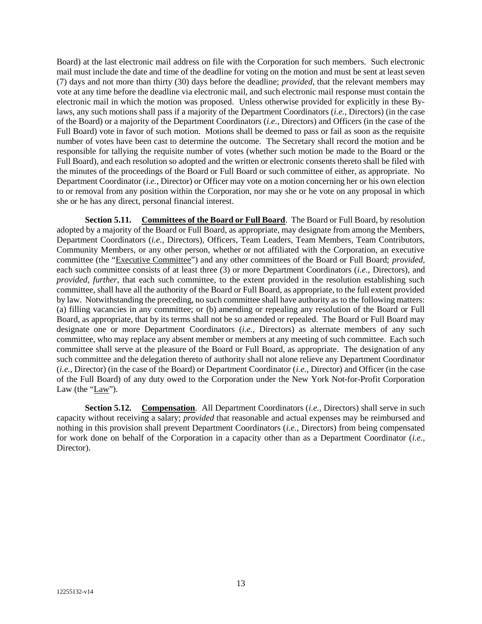Board) at the last electronic mail address on file with the Corporation for such members. Such electronic mail must include the date and time of the deadline for voting on the motion and must be sent at least seven (7) days and not more than thirty (30) days before the deadline; *provided*, that the relevant members may vote at any time before the deadline via electronic mail, and such electronic mail response must contain the electronic mail in which the motion was proposed. Unless otherwise provided for explicitly in these Bylaws, any such motions shall pass if a majority of the Department Coordinators (*i.e.*, Directors) (in the case of the Board) or a majority of the Department Coordinators (*i.e.*, Directors) and Officers (in the case of the Full Board) vote in favor of such motion. Motions shall be deemed to pass or fail as soon as the requisite number of votes have been cast to determine the outcome. The Secretary shall record the motion and be responsible for tallying the requisite number of votes (whether such motion be made to the Board or the Full Board), and each resolution so adopted and the written or electronic consents thereto shall be filed with the minutes of the proceedings of the Board or Full Board or such committee of either, as appropriate. No Department Coordinator (*i.e.*, Director) or Officer may vote on a motion concerning her or his own election to or removal from any position within the Corporation, nor may she or he vote on any proposal in which she or he has any direct, personal financial interest.

**Section 5.11.** Committees of the Board or Full Board. The Board or Full Board, by resolution adopted by a majority of the Board or Full Board, as appropriate, may designate from among the Members, Department Coordinators (*i.e.*, Directors), Officers, Team Leaders, Team Members, Team Contributors, Community Members, or any other person, whether or not affiliated with the Corporation, an executive committee (the "Executive Committee") and any other committees of the Board or Full Board; *provided,* each such committee consists of at least three (3) or more Department Coordinators (*i.e.*, Directors), and *provided*, *further*, that each such committee, to the extent provided in the resolution establishing such committee, shall have all the authority of the Board or Full Board, as appropriate, to the full extent provided by law. Notwithstanding the preceding, no such committee shall have authority as to the following matters: (a) filling vacancies in any committee; or (b) amending or repealing any resolution of the Board or Full Board, as appropriate, that by its terms shall not be so amended or repealed. The Board or Full Board may designate one or more Department Coordinators (*i.e.*, Directors) as alternate members of any such committee, who may replace any absent member or members at any meeting of such committee. Each such committee shall serve at the pleasure of the Board or Full Board, as appropriate. The designation of any such committee and the delegation thereto of authority shall not alone relieve any Department Coordinator (*i.e.*, Director) (in the case of the Board) or Department Coordinator (*i.e.*, Director) and Officer (in the case of the Full Board) of any duty owed to the Corporation under the New York Not-for-Profit Corporation Law (the "Law").

**Section 5.12. Compensation**. All Department Coordinators *(i.e., Directors)* shall serve in such capacity without receiving a salary; *provided* that reasonable and actual expenses may be reimbursed and nothing in this provision shall prevent Department Coordinators (*i.e.*, Directors) from being compensated for work done on behalf of the Corporation in a capacity other than as a Department Coordinator (*i.e.*, Director).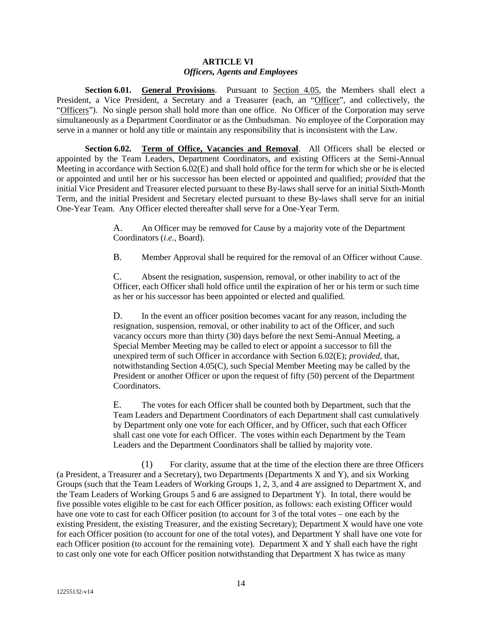#### **ARTICLE VI** *Officers, Agents and Employees*

Section 6.01. **General Provisions**. Pursuant to Section 4.05, the Members shall elect a President, a Vice President, a Secretary and a Treasurer (each, an "Officer", and collectively, the "Officers"). No single person shall hold more than one office. No Officer of the Corporation may serve simultaneously as a Department Coordinator or as the Ombudsman. No employee of the Corporation may serve in a manner or hold any title or maintain any responsibility that is inconsistent with the Law.

**Section 6.02. Term of Office, Vacancies and Removal**. All Officers shall be elected or appointed by the Team Leaders, Department Coordinators, and existing Officers at the Semi-Annual Meeting in accordance with Section 6.02(E) and shall hold office for the term for which she or he is elected or appointed and until her or his successor has been elected or appointed and qualified; *provided* that the initial Vice President and Treasurer elected pursuant to these By-laws shall serve for an initial Sixth-Month Term, and the initial President and Secretary elected pursuant to these By-laws shall serve for an initial One-Year Team. Any Officer elected thereafter shall serve for a One-Year Term.

> A. An Officer may be removed for Cause by a majority vote of the Department Coordinators (*i.e.*, Board).

B. Member Approval shall be required for the removal of an Officer without Cause.

C. Absent the resignation, suspension, removal, or other inability to act of the Officer, each Officer shall hold office until the expiration of her or his term or such time as her or his successor has been appointed or elected and qualified.

D. In the event an officer position becomes vacant for any reason, including the resignation, suspension, removal, or other inability to act of the Officer, and such vacancy occurs more than thirty (30) days before the next Semi-Annual Meeting, a Special Member Meeting may be called to elect or appoint a successor to fill the unexpired term of such Officer in accordance with Section 6.02(E); *provided*, that, notwithstanding Section 4.05(C), such Special Member Meeting may be called by the President or another Officer or upon the request of fifty (50) percent of the Department Coordinators.

E. The votes for each Officer shall be counted both by Department, such that the Team Leaders and Department Coordinators of each Department shall cast cumulatively by Department only one vote for each Officer, and by Officer, such that each Officer shall cast one vote for each Officer. The votes within each Department by the Team Leaders and the Department Coordinators shall be tallied by majority vote.

(1) For clarity, assume that at the time of the election there are three Officers (a President, a Treasurer and a Secretary), two Departments (Departments X and Y), and six Working Groups (such that the Team Leaders of Working Groups 1, 2, 3, and 4 are assigned to Department X, and the Team Leaders of Working Groups 5 and 6 are assigned to Department Y). In total, there would be five possible votes eligible to be cast for each Officer position, as follows: each existing Officer would have one vote to cast for each Officer position (to account for 3 of the total votes – one each by the existing President, the existing Treasurer, and the existing Secretary); Department X would have one vote for each Officer position (to account for one of the total votes), and Department Y shall have one vote for each Officer position (to account for the remaining vote). Department X and Y shall each have the right to cast only one vote for each Officer position notwithstanding that Department X has twice as many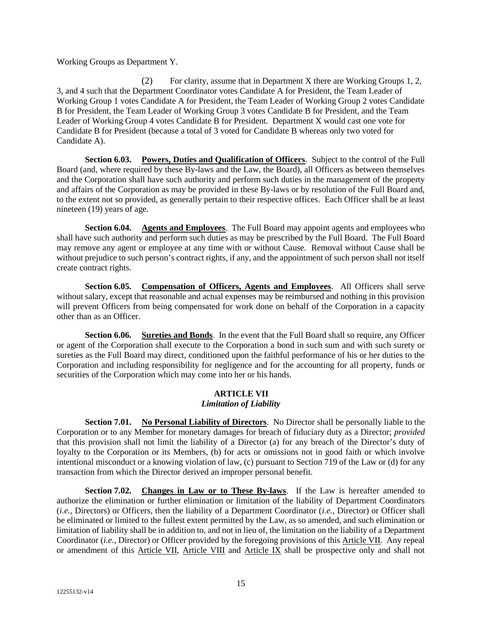Working Groups as Department Y.

(2) For clarity, assume that in Department X there are Working Groups 1, 2, 3, and 4 such that the Department Coordinator votes Candidate A for President, the Team Leader of Working Group 1 votes Candidate A for President, the Team Leader of Working Group 2 votes Candidate B for President, the Team Leader of Working Group 3 votes Candidate B for President, and the Team Leader of Working Group 4 votes Candidate B for President. Department X would cast one vote for Candidate B for President (because a total of 3 voted for Candidate B whereas only two voted for Candidate A).

**Section 6.03. Powers, Duties and Qualification of Officers**. Subject to the control of the Full Board (and, where required by these By-laws and the Law, the Board), all Officers as between themselves and the Corporation shall have such authority and perform such duties in the management of the property and affairs of the Corporation as may be provided in these By-laws or by resolution of the Full Board and, to the extent not so provided, as generally pertain to their respective offices. Each Officer shall be at least nineteen (19) years of age.

**Section 6.04. Agents and Employees**. The Full Board may appoint agents and employees who shall have such authority and perform such duties as may be prescribed by the Full Board. The Full Board may remove any agent or employee at any time with or without Cause. Removal without Cause shall be without prejudice to such person's contract rights, if any, and the appointment of such person shall not itself create contract rights.

Section 6.05. Compensation of Officers, Agents and Employees. All Officers shall serve without salary, except that reasonable and actual expenses may be reimbursed and nothing in this provision will prevent Officers from being compensated for work done on behalf of the Corporation in a capacity other than as an Officer.

**Section 6.06. Sureties and Bonds**. In the event that the Full Board shall so require, any Officer or agent of the Corporation shall execute to the Corporation a bond in such sum and with such surety or sureties as the Full Board may direct, conditioned upon the faithful performance of his or her duties to the Corporation and including responsibility for negligence and for the accounting for all property, funds or securities of the Corporation which may come into her or his hands.

### **ARTICLE VII** *Limitation of Liability*

**Section 7.01. No Personal Liability of Directors**. No Director shall be personally liable to the Corporation or to any Member for monetary damages for breach of fiduciary duty as a Director; *provided* that this provision shall not limit the liability of a Director (a) for any breach of the Director's duty of loyalty to the Corporation or its Members, (b) for acts or omissions not in good faith or which involve intentional misconduct or a knowing violation of law, (c) pursuant to Section 719 of the Law or (d) for any transaction from which the Director derived an improper personal benefit.

**Section 7.02. Changes in Law or to These By-laws**. If the Law is hereafter amended to authorize the elimination or further elimination or limitation of the liability of Department Coordinators (*i.e.*, Directors) or Officers, then the liability of a Department Coordinator (*i.e.*, Director) or Officer shall be eliminated or limited to the fullest extent permitted by the Law, as so amended, and such elimination or limitation of liability shall be in addition to, and not in lieu of, the limitation on the liability of a Department Coordinator (*i.e.*, Director) or Officer provided by the foregoing provisions of this Article VII. Any repeal or amendment of this Article VII, Article VIII and Article IX shall be prospective only and shall not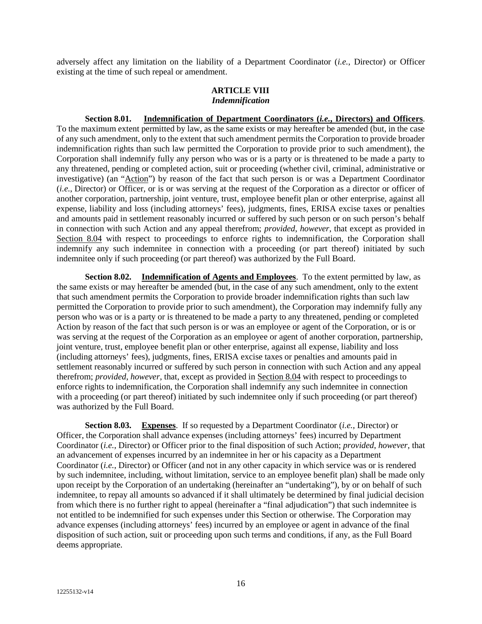adversely affect any limitation on the liability of a Department Coordinator (*i.e.*, Director) or Officer existing at the time of such repeal or amendment.

### **ARTICLE VIII** *Indemnification*

**Section 8.01. Indemnification of Department Coordinators (***i.e.***, Directors) and Officers**. To the maximum extent permitted by law, as the same exists or may hereafter be amended (but, in the case of any such amendment, only to the extent that such amendment permits the Corporation to provide broader indemnification rights than such law permitted the Corporation to provide prior to such amendment), the Corporation shall indemnify fully any person who was or is a party or is threatened to be made a party to any threatened, pending or completed action, suit or proceeding (whether civil, criminal, administrative or investigative) (an "Action") by reason of the fact that such person is or was a Department Coordinator (*i.e.*, Director) or Officer, or is or was serving at the request of the Corporation as a director or officer of another corporation, partnership, joint venture, trust, employee benefit plan or other enterprise, against all expense, liability and loss (including attorneys' fees), judgments, fines, ERISA excise taxes or penalties and amounts paid in settlement reasonably incurred or suffered by such person or on such person's behalf in connection with such Action and any appeal therefrom; *provided*, *however*, that except as provided in Section 8.04 with respect to proceedings to enforce rights to indemnification, the Corporation shall indemnify any such indemnitee in connection with a proceeding (or part thereof) initiated by such indemnitee only if such proceeding (or part thereof) was authorized by the Full Board.

**Section 8.02. Indemnification of Agents and Employees**. To the extent permitted by law, as the same exists or may hereafter be amended (but, in the case of any such amendment, only to the extent that such amendment permits the Corporation to provide broader indemnification rights than such law permitted the Corporation to provide prior to such amendment), the Corporation may indemnify fully any person who was or is a party or is threatened to be made a party to any threatened, pending or completed Action by reason of the fact that such person is or was an employee or agent of the Corporation, or is or was serving at the request of the Corporation as an employee or agent of another corporation, partnership, joint venture, trust, employee benefit plan or other enterprise, against all expense, liability and loss (including attorneys' fees), judgments, fines, ERISA excise taxes or penalties and amounts paid in settlement reasonably incurred or suffered by such person in connection with such Action and any appeal therefrom; *provided*, *however*, that, except as provided in Section 8.04 with respect to proceedings to enforce rights to indemnification, the Corporation shall indemnify any such indemnitee in connection with a proceeding (or part thereof) initiated by such indemnitee only if such proceeding (or part thereof) was authorized by the Full Board.

**Section 8.03. Expenses**. If so requested by a Department Coordinator (*i.e.*, Director) or Officer, the Corporation shall advance expenses (including attorneys' fees) incurred by Department Coordinator (*i.e.*, Director) or Officer prior to the final disposition of such Action; *provided*, *however*, that an advancement of expenses incurred by an indemnitee in her or his capacity as a Department Coordinator (*i.e.*, Director) or Officer (and not in any other capacity in which service was or is rendered by such indemnitee, including, without limitation, service to an employee benefit plan) shall be made only upon receipt by the Corporation of an undertaking (hereinafter an "undertaking"), by or on behalf of such indemnitee, to repay all amounts so advanced if it shall ultimately be determined by final judicial decision from which there is no further right to appeal (hereinafter a "final adjudication") that such indemnitee is not entitled to be indemnified for such expenses under this Section or otherwise. The Corporation may advance expenses (including attorneys' fees) incurred by an employee or agent in advance of the final disposition of such action, suit or proceeding upon such terms and conditions, if any, as the Full Board deems appropriate.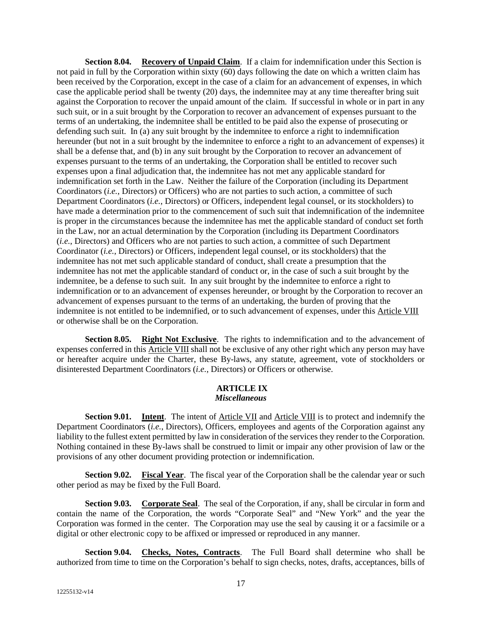**Section 8.04. Recovery of Unpaid Claim**. If a claim for indemnification under this Section is not paid in full by the Corporation within sixty (60) days following the date on which a written claim has been received by the Corporation, except in the case of a claim for an advancement of expenses, in which case the applicable period shall be twenty (20) days, the indemnitee may at any time thereafter bring suit against the Corporation to recover the unpaid amount of the claim. If successful in whole or in part in any such suit, or in a suit brought by the Corporation to recover an advancement of expenses pursuant to the terms of an undertaking, the indemnitee shall be entitled to be paid also the expense of prosecuting or defending such suit. In (a) any suit brought by the indemnitee to enforce a right to indemnification hereunder (but not in a suit brought by the indemnitee to enforce a right to an advancement of expenses) it shall be a defense that, and (b) in any suit brought by the Corporation to recover an advancement of expenses pursuant to the terms of an undertaking, the Corporation shall be entitled to recover such expenses upon a final adjudication that, the indemnitee has not met any applicable standard for indemnification set forth in the Law. Neither the failure of the Corporation (including its Department Coordinators (*i.e.*, Directors) or Officers) who are not parties to such action, a committee of such Department Coordinators (*i.e.*, Directors) or Officers, independent legal counsel, or its stockholders) to have made a determination prior to the commencement of such suit that indemnification of the indemnitee is proper in the circumstances because the indemnitee has met the applicable standard of conduct set forth in the Law, nor an actual determination by the Corporation (including its Department Coordinators (*i.e.*, Directors) and Officers who are not parties to such action, a committee of such Department Coordinator (*i.e.*, Directors) or Officers, independent legal counsel, or its stockholders) that the indemnitee has not met such applicable standard of conduct, shall create a presumption that the indemnitee has not met the applicable standard of conduct or, in the case of such a suit brought by the indemnitee, be a defense to such suit. In any suit brought by the indemnitee to enforce a right to indemnification or to an advancement of expenses hereunder, or brought by the Corporation to recover an advancement of expenses pursuant to the terms of an undertaking, the burden of proving that the indemnitee is not entitled to be indemnified, or to such advancement of expenses, under this Article VIII or otherwise shall be on the Corporation.

**Section 8.05. Right Not Exclusive**. The rights to indemnification and to the advancement of expenses conferred in this Article VIII shall not be exclusive of any other right which any person may have or hereafter acquire under the Charter, these By-laws, any statute, agreement, vote of stockholders or disinterested Department Coordinators (*i.e.*, Directors) or Officers or otherwise.

### **ARTICLE IX** *Miscellaneous*

**Section 9.01. Intent**. The intent of Article VII and Article VIII is to protect and indemnify the Department Coordinators (*i.e.*, Directors), Officers, employees and agents of the Corporation against any liability to the fullest extent permitted by law in consideration of the services they render to the Corporation. Nothing contained in these By-laws shall be construed to limit or impair any other provision of law or the provisions of any other document providing protection or indemnification.

**Section 9.02.** Fiscal Year. The fiscal year of the Corporation shall be the calendar year or such other period as may be fixed by the Full Board.

**Section 9.03. Corporate Seal**. The seal of the Corporation, if any, shall be circular in form and contain the name of the Corporation, the words "Corporate Seal" and "New York" and the year the Corporation was formed in the center. The Corporation may use the seal by causing it or a facsimile or a digital or other electronic copy to be affixed or impressed or reproduced in any manner.

**Section 9.04. Checks, Notes, Contracts**. The Full Board shall determine who shall be authorized from time to time on the Corporation's behalf to sign checks, notes, drafts, acceptances, bills of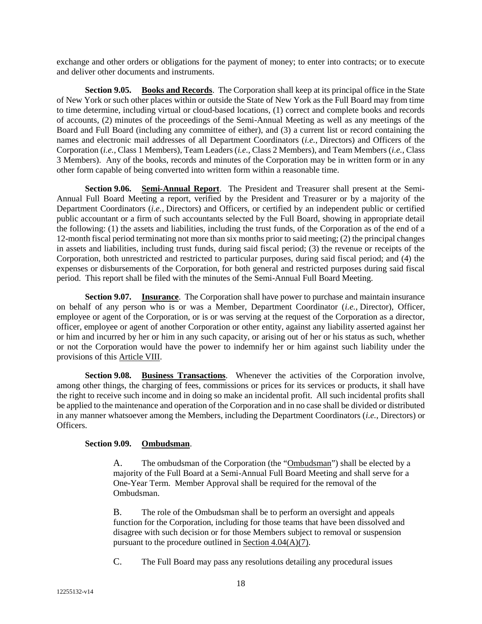exchange and other orders or obligations for the payment of money; to enter into contracts; or to execute and deliver other documents and instruments.

**Section 9.05. Books and Records**. The Corporation shall keep at its principal office in the State of New York or such other places within or outside the State of New York as the Full Board may from time to time determine, including virtual or cloud-based locations, (1) correct and complete books and records of accounts, (2) minutes of the proceedings of the Semi-Annual Meeting as well as any meetings of the Board and Full Board (including any committee of either), and (3) a current list or record containing the names and electronic mail addresses of all Department Coordinators (*i.e.*, Directors) and Officers of the Corporation (*i.e.*, Class 1 Members), Team Leaders (*i.e.*, Class 2 Members), and Team Members (*i.e.*, Class 3 Members). Any of the books, records and minutes of the Corporation may be in written form or in any other form capable of being converted into written form within a reasonable time.

**Section 9.06. Semi-Annual Report**. The President and Treasurer shall present at the Semi-Annual Full Board Meeting a report, verified by the President and Treasurer or by a majority of the Department Coordinators (*i.e.*, Directors) and Officers, or certified by an independent public or certified public accountant or a firm of such accountants selected by the Full Board, showing in appropriate detail the following: (1) the assets and liabilities, including the trust funds, of the Corporation as of the end of a 12-month fiscal period terminating not more than six months prior to said meeting; (2) the principal changes in assets and liabilities, including trust funds, during said fiscal period; (3) the revenue or receipts of the Corporation, both unrestricted and restricted to particular purposes, during said fiscal period; and (4) the expenses or disbursements of the Corporation, for both general and restricted purposes during said fiscal period. This report shall be filed with the minutes of the Semi-Annual Full Board Meeting.

**Section 9.07. Insurance**. The Corporation shall have power to purchase and maintain insurance on behalf of any person who is or was a Member, Department Coordinator (*i.e.*, Director), Officer, employee or agent of the Corporation, or is or was serving at the request of the Corporation as a director, officer, employee or agent of another Corporation or other entity, against any liability asserted against her or him and incurred by her or him in any such capacity, or arising out of her or his status as such, whether or not the Corporation would have the power to indemnify her or him against such liability under the provisions of this Article VIII.

**Section 9.08. Business Transactions**. Whenever the activities of the Corporation involve, among other things, the charging of fees, commissions or prices for its services or products, it shall have the right to receive such income and in doing so make an incidental profit. All such incidental profits shall be applied to the maintenance and operation of the Corporation and in no case shall be divided or distributed in any manner whatsoever among the Members, including the Department Coordinators (*i.e.*, Directors) or Officers.

# **Section 9.09. Ombudsman**.

A. The ombudsman of the Corporation (the "Ombudsman") shall be elected by a majority of the Full Board at a Semi-Annual Full Board Meeting and shall serve for a One-Year Term. Member Approval shall be required for the removal of the Ombudsman.

B. The role of the Ombudsman shall be to perform an oversight and appeals function for the Corporation, including for those teams that have been dissolved and disagree with such decision or for those Members subject to removal or suspension pursuant to the procedure outlined in Section  $4.04(A)(7)$ .

C. The Full Board may pass any resolutions detailing any procedural issues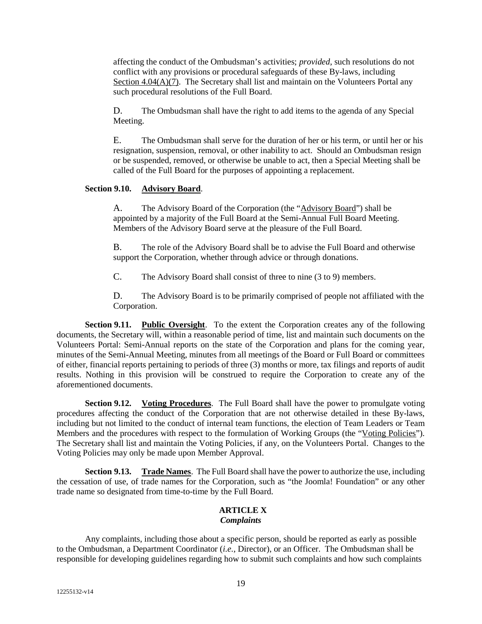affecting the conduct of the Ombudsman's activities; *provided*, such resolutions do not conflict with any provisions or procedural safeguards of these By-laws, including Section 4.04(A)(7). The Secretary shall list and maintain on the Volunteers Portal any such procedural resolutions of the Full Board.

D. The Ombudsman shall have the right to add items to the agenda of any Special Meeting.

E. The Ombudsman shall serve for the duration of her or his term, or until her or his resignation, suspension, removal, or other inability to act. Should an Ombudsman resign or be suspended, removed, or otherwise be unable to act, then a Special Meeting shall be called of the Full Board for the purposes of appointing a replacement.

# **Section 9.10. Advisory Board**.

A. The Advisory Board of the Corporation (the "Advisory Board") shall be appointed by a majority of the Full Board at the Semi-Annual Full Board Meeting. Members of the Advisory Board serve at the pleasure of the Full Board.

B. The role of the Advisory Board shall be to advise the Full Board and otherwise support the Corporation, whether through advice or through donations.

C. The Advisory Board shall consist of three to nine (3 to 9) members.

D. The Advisory Board is to be primarily comprised of people not affiliated with the Corporation.

**Section 9.11. Public Oversight**. To the extent the Corporation creates any of the following documents, the Secretary will, within a reasonable period of time, list and maintain such documents on the Volunteers Portal: Semi-Annual reports on the state of the Corporation and plans for the coming year, minutes of the Semi-Annual Meeting, minutes from all meetings of the Board or Full Board or committees of either, financial reports pertaining to periods of three (3) months or more, tax filings and reports of audit results. Nothing in this provision will be construed to require the Corporation to create any of the aforementioned documents.

**Section 9.12. Voting Procedures**. The Full Board shall have the power to promulgate voting procedures affecting the conduct of the Corporation that are not otherwise detailed in these By-laws, including but not limited to the conduct of internal team functions, the election of Team Leaders or Team Members and the procedures with respect to the formulation of Working Groups (the "Voting Policies"). The Secretary shall list and maintain the Voting Policies, if any, on the Volunteers Portal. Changes to the Voting Policies may only be made upon Member Approval.

**Section 9.13. Trade Names**. The Full Board shall have the power to authorize the use, including the cessation of use, of trade names for the Corporation, such as "the Joomla! Foundation" or any other trade name so designated from time-to-time by the Full Board.

#### **ARTICLE X** *Complaints*

Any complaints, including those about a specific person, should be reported as early as possible to the Ombudsman, a Department Coordinator (*i.e.*, Director), or an Officer. The Ombudsman shall be responsible for developing guidelines regarding how to submit such complaints and how such complaints